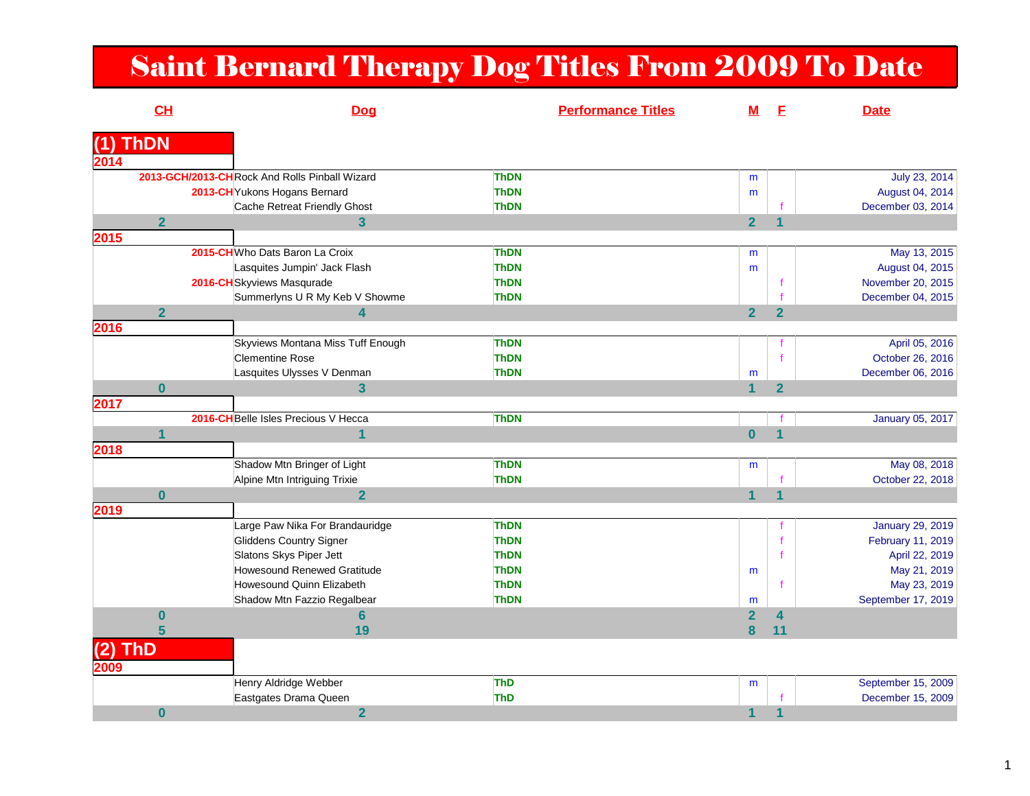## Saint Bernard Therapy Dog Titles From 2009 To Date

|      | CH             | <b>Dog</b>                                    | <b>Performance Titles</b> | <u>M</u>                | E                       | <b>Date</b>             |
|------|----------------|-----------------------------------------------|---------------------------|-------------------------|-------------------------|-------------------------|
|      | <b>ThDN</b>    |                                               |                           |                         |                         |                         |
| 2014 |                |                                               |                           |                         |                         |                         |
|      |                | 2013-GCH/2013-CHRock And Rolls Pinball Wizard | ThDN                      | m                       |                         | July 23, 2014           |
|      |                | 2013-CH Yukons Hogans Bernard                 | <b>ThDN</b>               | m                       |                         | August 04, 2014         |
|      |                | Cache Retreat Friendly Ghost                  | <b>ThDN</b>               |                         |                         | December 03, 2014       |
|      | $\overline{2}$ | $\overline{\mathbf{3}}$                       |                           | $\overline{2}$          | $\overline{\mathbf{1}}$ |                         |
| 2015 |                |                                               |                           |                         |                         |                         |
|      |                | 2015-CH Who Dats Baron La Croix               | <b>ThDN</b>               | m                       |                         | May 13, 2015            |
|      |                | Lasquites Jumpin' Jack Flash                  | <b>ThDN</b>               | m                       |                         | August 04, 2015         |
|      |                | 2016-CH Skyviews Masqurade                    | <b>ThDN</b>               |                         |                         | November 20, 2015       |
|      |                | Summerlyns U R My Keb V Showme                | <b>ThDN</b>               |                         |                         | December 04, 2015       |
|      | $\overline{2}$ | $\overline{\mathbf{4}}$                       |                           | 2 <sup>1</sup>          | $\overline{2}$          |                         |
| 2016 |                |                                               |                           |                         |                         |                         |
|      |                | Skyviews Montana Miss Tuff Enough             | ThDN                      |                         |                         | April 05, 2016          |
|      |                | <b>Clementine Rose</b>                        | <b>ThDN</b>               |                         |                         | October 26, 2016        |
|      |                | Lasquites Ulysses V Denman                    | <b>ThDN</b>               | ${\sf m}$               |                         | December 06, 2016       |
|      | $\bf{0}$       | $\overline{3}$                                |                           | $\overline{1}$          | $\overline{2}$          |                         |
| 2017 |                |                                               |                           |                         |                         |                         |
|      |                | 2016-CH Belle Isles Precious V Hecca          | <b>ThDN</b>               |                         |                         | January 05, 2017        |
|      | 1              | $\overline{\mathbf{1}}$                       |                           | $\overline{\mathbf{0}}$ | 1                       |                         |
| 2018 |                |                                               |                           |                         |                         |                         |
|      |                | Shadow Mtn Bringer of Light                   | <b>ThDN</b>               | m                       |                         | May 08, 2018            |
|      |                | Alpine Mtn Intriguing Trixie                  | <b>ThDN</b>               |                         |                         | October 22, 2018        |
|      | $\bf{0}$       | $\overline{2}$                                |                           | $\blacktriangleleft$    | $\overline{\mathbf{1}}$ |                         |
| 2019 |                |                                               |                           |                         |                         |                         |
|      |                | Large Paw Nika For Brandauridge               | ThDN                      |                         |                         | <b>January 29, 2019</b> |
|      |                | Gliddens Country Signer                       | <b>ThDN</b>               |                         |                         | February 11, 2019       |
|      |                | Slatons Skys Piper Jett                       | <b>ThDN</b>               |                         |                         | April 22, 2019          |
|      |                | Howesound Renewed Gratitude                   | <b>ThDN</b>               | m                       |                         | May 21, 2019            |
|      |                | Howesound Quinn Elizabeth                     | <b>ThDN</b>               |                         |                         | May 23, 2019            |
|      |                | Shadow Mtn Fazzio Regalbear                   | <b>ThDN</b>               | m                       |                         | September 17, 2019      |
|      | $\bf{0}$       | $6\phantom{1}$                                |                           | $\overline{2}$          | $\overline{\mathbf{4}}$ |                         |
|      | 5              | 19                                            |                           | 8                       | 11                      |                         |
|      | <b>ThD</b>     |                                               |                           |                         |                         |                         |
| 2009 |                |                                               |                           |                         |                         |                         |
|      |                | Henry Aldridge Webber                         | ThD                       | m                       |                         | September 15, 2009      |
|      |                | Eastgates Drama Queen                         | ThD                       |                         |                         | December 15, 2009       |
|      | $\bf{0}$       | $\overline{2}$                                |                           | $\mathbf 1$             |                         |                         |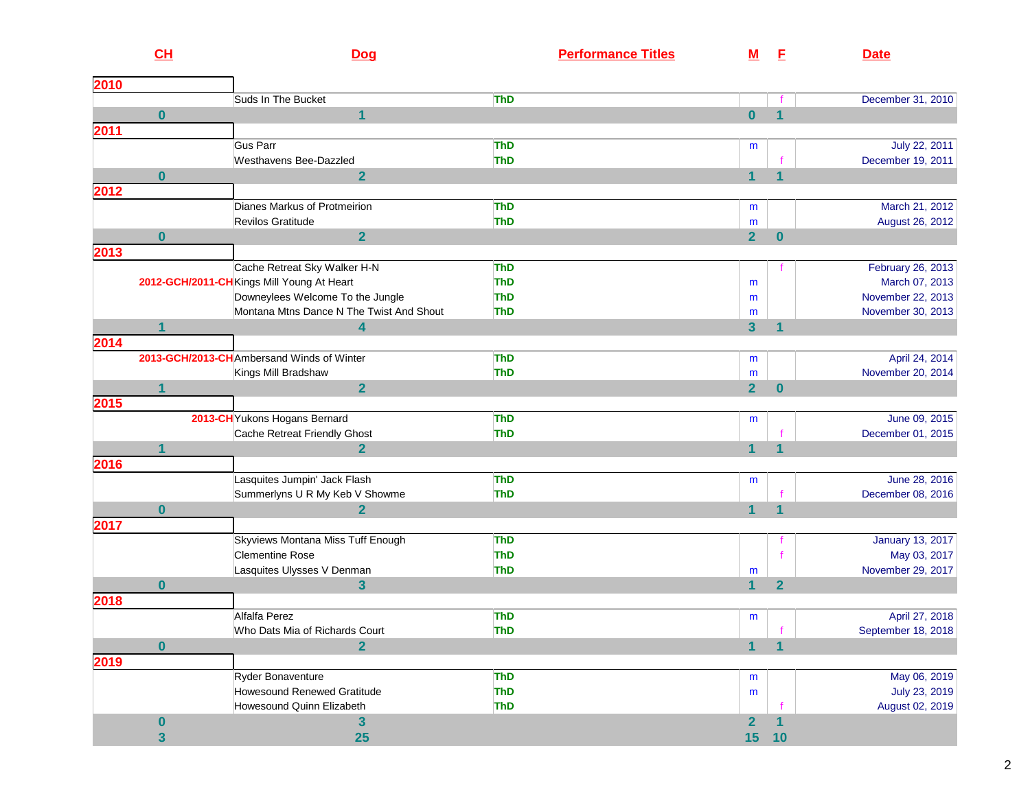|      | CL                   | Dog                                                         | <b>Performance Titles</b> | <u>M</u>       | E                       | <b>Date</b>                             |
|------|----------------------|-------------------------------------------------------------|---------------------------|----------------|-------------------------|-----------------------------------------|
| 2010 |                      |                                                             |                           |                |                         |                                         |
|      |                      | Suds In The Bucket                                          | <b>ThD</b>                |                |                         | December 31, 2010                       |
|      | $\bf{0}$             | $\mathbf{1}$                                                |                           | $\mathbf{0}$   | $\overline{\mathbf{1}}$ |                                         |
| 2011 |                      |                                                             |                           |                |                         |                                         |
|      |                      | Gus Parr                                                    | <b>ThD</b>                | m              |                         | July 22, 2011                           |
|      |                      | Westhavens Bee-Dazzled                                      | <b>ThD</b>                |                |                         | December 19, 2011                       |
| 2012 | $\bf{0}$             | $\overline{2}$                                              |                           |                |                         |                                         |
|      |                      | Dianes Markus of Protmeirion                                | <b>ThD</b>                | m              |                         | March 21, 2012                          |
|      |                      | Revilos Gratitude                                           | <b>ThD</b>                | m              |                         | August 26, 2012                         |
|      | $\bf{0}$             | $\overline{2}$                                              |                           | $\overline{2}$ | $\bf{0}$                |                                         |
| 2013 |                      |                                                             |                           |                |                         |                                         |
|      |                      | Cache Retreat Sky Walker H-N                                | <b>ThD</b>                |                |                         | February 26, 2013                       |
|      |                      | 2012-GCH/2011-CH Kings Mill Young At Heart                  | <b>ThD</b>                | m              |                         | March 07, 2013                          |
|      |                      | Downeylees Welcome To the Jungle                            | <b>ThD</b>                | m              |                         | November 22, 2013                       |
|      |                      | Montana Mtns Dance N The Twist And Shout                    | <b>ThD</b>                | m              |                         | November 30, 2013                       |
|      | $\blacktriangleleft$ | 4                                                           |                           | 3 <sup>5</sup> | 1                       |                                         |
| 2014 |                      | 2013-GCH/2013-CH Ambersand Winds of Winter                  | <b>ThD</b>                | m              |                         | April 24, 2014                          |
|      |                      | Kings Mill Bradshaw                                         | <b>ThD</b>                | m              |                         | November 20, 2014                       |
|      | 1                    | $\overline{2}$                                              |                           | $\overline{2}$ | $\bf{0}$                |                                         |
| 2015 |                      |                                                             |                           |                |                         |                                         |
|      |                      | 2013-CH Yukons Hogans Bernard                               | <b>ThD</b>                | m              |                         | June 09, 2015                           |
|      |                      | Cache Retreat Friendly Ghost                                | <b>ThD</b>                |                |                         | December 01, 2015                       |
|      |                      | $\overline{2}$                                              |                           |                | $\blacktriangleleft$    |                                         |
| 2016 |                      |                                                             |                           |                |                         |                                         |
|      |                      | Lasquites Jumpin' Jack Flash                                | <b>ThD</b>                | m              |                         | June 28, 2016                           |
|      |                      | Summerlyns U R My Keb V Showme                              | <b>ThD</b>                |                |                         | December 08, 2016                       |
|      | $\bf{0}$             | $\overline{2}$                                              |                           | $\mathbf{1}$   | 1                       |                                         |
| 2017 |                      |                                                             |                           |                |                         |                                         |
|      |                      | Skyviews Montana Miss Tuff Enough<br><b>Clementine Rose</b> | <b>ThD</b><br><b>ThD</b>  |                |                         | <b>January 13, 2017</b><br>May 03, 2017 |
|      |                      | Lasquites Ulysses V Denman                                  | <b>ThD</b>                | m              |                         | November 29, 2017                       |
|      | $\bf{0}$             | 3                                                           |                           | 1              | $\mathbf{2}$            |                                         |
| 2018 |                      |                                                             |                           |                |                         |                                         |
|      |                      | Alfalfa Perez                                               | <b>ThD</b>                | m              |                         | April 27, 2018                          |
|      |                      | Who Dats Mia of Richards Court                              | ThD                       |                |                         | September 18, 2018                      |
|      | $\bf{0}$             | $\overline{2}$                                              |                           | 1              | $\overline{\mathbf{1}}$ |                                         |
| 2019 |                      |                                                             |                           |                |                         |                                         |
|      |                      | Ryder Bonaventure                                           | <b>ThD</b>                | m              |                         | May 06, 2019                            |
|      |                      | Howesound Renewed Gratitude                                 | <b>ThD</b>                | m              |                         | July 23, 2019                           |
|      |                      | Howesound Quinn Elizabeth                                   | <b>ThD</b>                |                |                         | August 02, 2019                         |
|      | $\boldsymbol{0}$     | $\overline{\mathbf{3}}$                                     |                           | $\overline{2}$ | 1                       |                                         |
|      | 3                    | 25                                                          |                           | 15             | 10                      |                                         |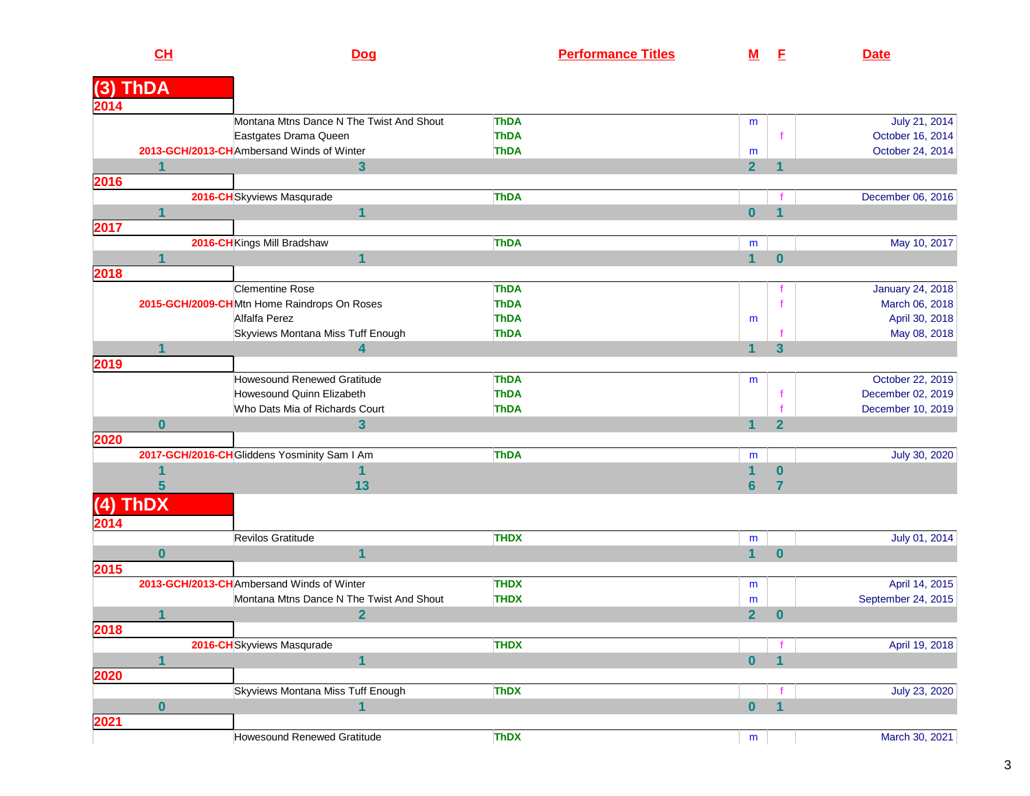|      | CL          | <b>Dog</b>                                                         | <b>Performance Titles</b>  | <u>M</u>                | E                       | <b>Date</b>                       |
|------|-------------|--------------------------------------------------------------------|----------------------------|-------------------------|-------------------------|-----------------------------------|
|      |             |                                                                    |                            |                         |                         |                                   |
| (3)  | <b>ThDA</b> |                                                                    |                            |                         |                         |                                   |
| 2014 |             |                                                                    |                            |                         |                         |                                   |
|      |             | Montana Mtns Dance N The Twist And Shout                           | <b>ThDA</b><br><b>ThDA</b> | m                       |                         | July 21, 2014<br>October 16, 2014 |
|      |             | Eastgates Drama Queen<br>2013-GCH/2013-CHAmbersand Winds of Winter | <b>ThDA</b>                |                         | $\mathsf{f}$            | October 24, 2014                  |
|      |             | $\mathbf{3}$                                                       |                            | m<br>$\overline{2}$     |                         |                                   |
| 2016 |             |                                                                    |                            |                         |                         |                                   |
|      |             | 2016-CH Skyviews Masqurade                                         | <b>ThDA</b>                |                         |                         | December 06, 2016                 |
|      | 1           | 1                                                                  |                            | $\overline{\mathbf{0}}$ | 1                       |                                   |
| 2017 |             |                                                                    |                            |                         |                         |                                   |
|      |             | 2016-CH Kings Mill Bradshaw                                        | <b>ThDA</b>                | m                       |                         | May 10, 2017                      |
|      | 1           | 1                                                                  |                            | $\mathbf{1}$            | $\bf{0}$                |                                   |
| 2018 |             |                                                                    |                            |                         |                         |                                   |
|      |             | <b>Clementine Rose</b>                                             | <b>ThDA</b>                |                         |                         | January 24, 2018                  |
|      |             | 2015-GCH/2009-CHMtn Home Raindrops On Roses                        | <b>ThDA</b>                |                         |                         | March 06, 2018                    |
|      |             | Alfalfa Perez                                                      | <b>ThDA</b>                | m                       |                         | April 30, 2018                    |
|      |             | Skyviews Montana Miss Tuff Enough                                  | <b>ThDA</b>                |                         |                         | May 08, 2018                      |
|      | 1           | 4                                                                  |                            | 1                       | $\overline{\mathbf{3}}$ |                                   |
| 2019 |             |                                                                    |                            |                         |                         |                                   |
|      |             | Howesound Renewed Gratitude                                        | <b>ThDA</b>                | m                       |                         | October 22, 2019                  |
|      |             | Howesound Quinn Elizabeth                                          | <b>ThDA</b>                |                         |                         | December 02, 2019                 |
|      |             | Who Dats Mia of Richards Court                                     | <b>ThDA</b>                |                         |                         | December 10, 2019                 |
|      | $\bf{0}$    | 3                                                                  |                            | 1                       | $\overline{2}$          |                                   |
| 2020 |             |                                                                    |                            |                         |                         |                                   |
|      |             | 2017-GCH/2016-CH Gliddens Yosminity Sam I Am                       | <b>ThDA</b>                | m                       |                         | July 30, 2020                     |
|      |             | 1                                                                  |                            | $\overline{\mathbf{1}}$ | $\bf{0}$                |                                   |
|      | 5           | 13                                                                 |                            | $6\phantom{a}$          | 7                       |                                   |
| (4)  | <b>ThDX</b> |                                                                    |                            |                         |                         |                                   |
|      |             |                                                                    |                            |                         |                         |                                   |
| 2014 |             | Revilos Gratitude                                                  |                            |                         |                         |                                   |
|      |             | 1                                                                  | <b>THDX</b>                | m                       |                         | July 01, 2014                     |
|      | $\bf{0}$    |                                                                    |                            | $\mathbf{1}$            | $\bf{0}$                |                                   |
| 2015 |             | 2013-GCH/2013-CH Ambersand Winds of Winter                         | <b>THDX</b>                |                         |                         | April 14, 2015                    |
|      |             | Montana Mtns Dance N The Twist And Shout                           | <b>THDX</b>                | m                       |                         | September 24, 2015                |
|      |             | $\overline{2}$                                                     |                            | m<br>$\overline{2}$     | 0                       |                                   |
| 2018 |             |                                                                    |                            |                         |                         |                                   |
|      |             | 2016-CH Skyviews Masqurade                                         | <b>THDX</b>                |                         |                         | April 19, 2018                    |
|      |             | $\overline{\mathbf{1}}$                                            |                            | $\mathbf{0}$            | $\overline{\mathbf{1}}$ |                                   |
| 2020 |             |                                                                    |                            |                         |                         |                                   |
|      |             | Skyviews Montana Miss Tuff Enough                                  | <b>ThDX</b>                |                         |                         | July 23, 2020                     |
|      | $\bf{0}$    | $\mathbf{1}$                                                       |                            | $\mathbf{0}$            | $\overline{\mathbf{1}}$ |                                   |
| 2021 |             |                                                                    |                            |                         |                         |                                   |
|      |             | Howesound Renewed Gratitude                                        | <b>ThDX</b>                |                         |                         | March 30, 2021                    |
|      |             |                                                                    |                            | m                       |                         |                                   |